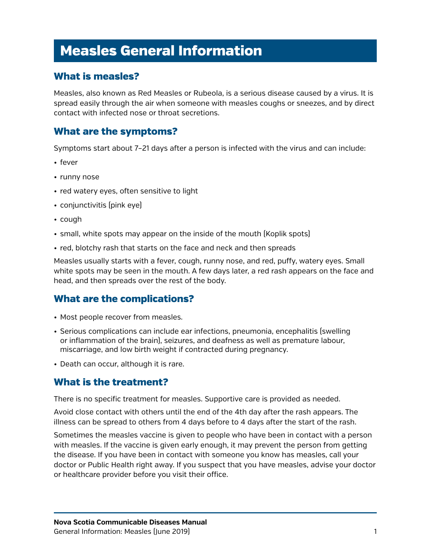# Measles General Information

## What is measles?

Measles, also known as Red Measles or Rubeola, is a serious disease caused by a virus. It is spread easily through the air when someone with measles coughs or sneezes, and by direct contact with infected nose or throat secretions.

## What are the symptoms?

Symptoms start about 7–21 days after a person is infected with the virus and can include:

- fever
- runny nose
- red watery eyes, often sensitive to light
- conjunctivitis (pink eye)
- cough
- small, white spots may appear on the inside of the mouth (Koplik spots)
- red, blotchy rash that starts on the face and neck and then spreads

Measles usually starts with a fever, cough, runny nose, and red, puffy, watery eyes. Small white spots may be seen in the mouth. A few days later, a red rash appears on the face and head, and then spreads over the rest of the body.

## What are the complications?

- Most people recover from measles.
- Serious complications can include ear infections, pneumonia, encephalitis (swelling or inflammation of the brain), seizures, and deafness as well as premature labour, miscarriage, and low birth weight if contracted during pregnancy.
- Death can occur, although it is rare.

#### What is the treatment?

There is no specific treatment for measles. Supportive care is provided as needed.

Avoid close contact with others until the end of the 4th day after the rash appears. The illness can be spread to others from 4 days before to 4 days after the start of the rash.

Sometimes the measles vaccine is given to people who have been in contact with a person with measles. If the vaccine is given early enough, it may prevent the person from getting the disease. If you have been in contact with someone you know has measles, call your doctor or Public Health right away. If you suspect that you have measles, advise your doctor or healthcare provider before you visit their office.